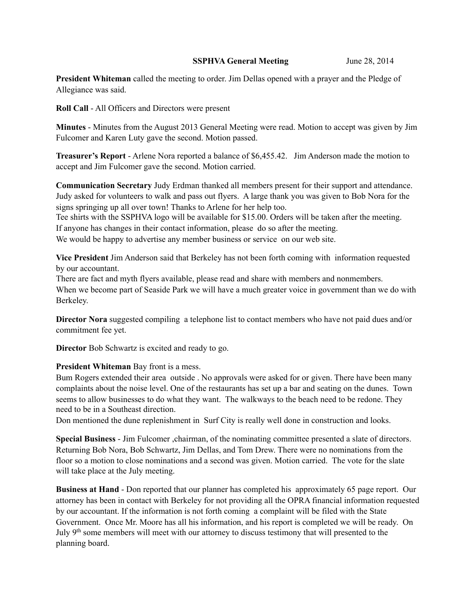## **SSPHVA General Meeting** June 28, 2014

**President Whiteman** called the meeting to order. Jim Dellas opened with a prayer and the Pledge of Allegiance was said.

**Roll Call** - All Officers and Directors were present

**Minutes** - Minutes from the August 2013 General Meeting were read. Motion to accept was given by Jim Fulcomer and Karen Luty gave the second. Motion passed.

**Treasurer's Report** - Arlene Nora reported a balance of \$6,455.42. Jim Anderson made the motion to accept and Jim Fulcomer gave the second. Motion carried.

**Communication Secretary** Judy Erdman thanked all members present for their support and attendance. Judy asked for volunteers to walk and pass out flyers. A large thank you was given to Bob Nora for the signs springing up all over town! Thanks to Arlene for her help too.

Tee shirts with the SSPHVA logo will be available for \$15.00. Orders will be taken after the meeting. If anyone has changes in their contact information, please do so after the meeting.

We would be happy to advertise any member business or service on our web site.

**Vice President** Jim Anderson said that Berkeley has not been forth coming with information requested by our accountant.

There are fact and myth flyers available, please read and share with members and nonmembers. When we become part of Seaside Park we will have a much greater voice in government than we do with Berkeley.

**Director Nora** suggested compiling a telephone list to contact members who have not paid dues and/or commitment fee yet.

**Director** Bob Schwartz is excited and ready to go.

**President Whiteman** Bay front is a mess.

Bum Rogers extended their area outside . No approvals were asked for or given. There have been many complaints about the noise level. One of the restaurants has set up a bar and seating on the dunes. Town seems to allow businesses to do what they want. The walkways to the beach need to be redone. They need to be in a Southeast direction.

Don mentioned the dune replenishment in Surf City is really well done in construction and looks.

**Special Business** - Jim Fulcomer ,chairman, of the nominating committee presented a slate of directors. Returning Bob Nora, Bob Schwartz, Jim Dellas, and Tom Drew. There were no nominations from the floor so a motion to close nominations and a second was given. Motion carried. The vote for the slate will take place at the July meeting.

**Business at Hand** - Don reported that our planner has completed his approximately 65 page report. Our attorney has been in contact with Berkeley for not providing all the OPRA financial information requested by our accountant. If the information is not forth coming a complaint will be filed with the State Government. Once Mr. Moore has all his information, and his report is completed we will be ready. On July 9<sup>th</sup> some members will meet with our attorney to discuss testimony that will presented to the planning board.